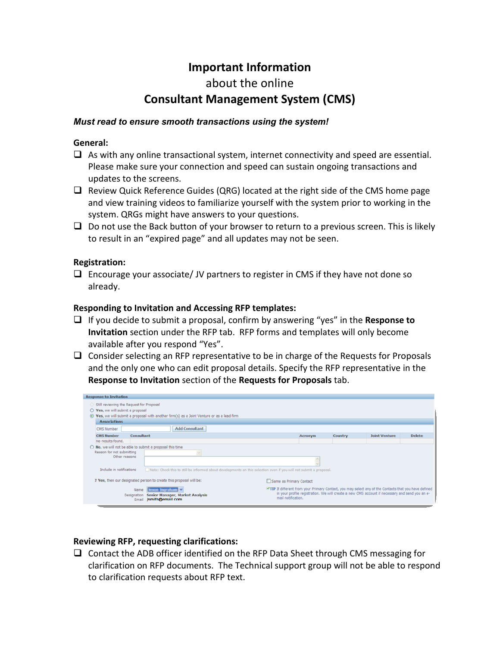## **Important Information**

# about the online **Consultant Management System (CMS)**

#### *Must read to ensure smooth transactions using the system!*

#### **General:**

- $\Box$  As with any online transactional system, internet connectivity and speed are essential. Please make sure your connection and speed can sustain ongoing transactions and updates to the screens.
- $\Box$  Review Quick Reference Guides (QRG) located at the right side of the CMS home page and view training videos to familiarize yourself with the system prior to working in the system. QRGs might have answers to your questions.
- $\Box$  Do not use the Back button of your browser to return to a previous screen. This is likely to result in an "expired page" and all updates may not be seen.

#### **Registration:**

 $\Box$  Encourage your associate/ JV partners to register in CMS if they have not done so already.

#### **Responding to Invitation and Accessing RFP templates:**

- If you decide to submit a proposal, confirm by answering "yes" in the **Response to Invitation** section under the RFP tab. RFP forms and templates will only become available after you respond "Yes".
- $\Box$  Consider selecting an RFP representative to be in charge of the Requests for Proposals and the only one who can edit proposal details. Specify the RFP representative in the **Response to Invitation** section of the **Requests for Proposals** tab.



### **Reviewing RFP, requesting clarifications:**

 $\Box$  Contact the ADB officer identified on the RFP Data Sheet through CMS messaging for clarification on RFP documents. The Technical support group will not be able to respond to clarification requests about RFP text.